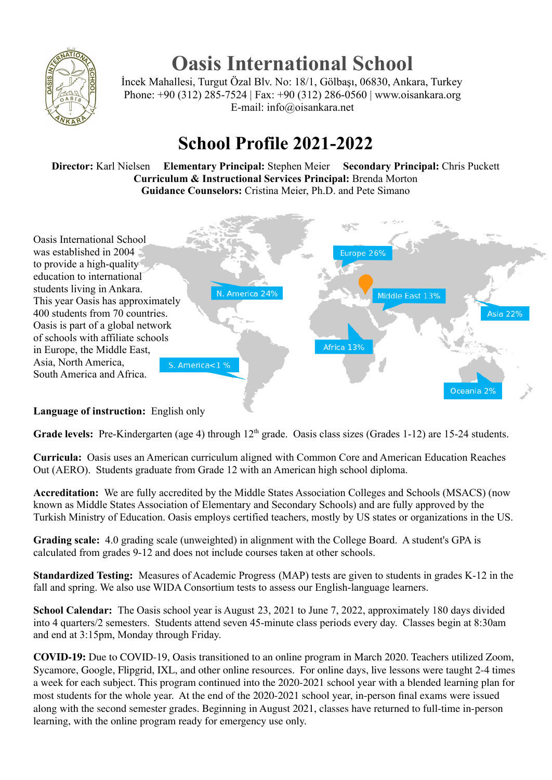

## **Oasis International School**

İncek Mahallesi, Turgut Özal Blv. No: 18/1, Gölbaşı, 06830, Ankara, Turkey Phone: +90 (312) 285-7524 | Fax: +90 (312) 286-0560 | www.oisankara.org E-mail: info@oisankara.net

## **School Profile 2021-2022**

**Director:** Karl Nielsen **Elementary Principal:** Stephen Meier **Secondary Principal:** Chris Puckett **Curriculum & Instructional Services Principal:** Brenda Morton **Guidance Counselors:** Cristina Meier, Ph.D. and Pete Simano



## **Language of instruction:** English only

Grade levels: Pre-Kindergarten (age 4) through 12<sup>th</sup> grade. Oasis class sizes (Grades 1-12) are 15-24 students.

**Curricula:** Oasis uses an American curriculum aligned with Common Core and American Education Reaches Out (AERO). Students graduate from Grade 12 with an American high school diploma.

**Accreditation:** We are fully accredited by the Middle States Association Colleges and Schools (MSACS) (now known as Middle States Association of Elementary and Secondary Schools) and are fully approved by the Turkish Ministry of Education. Oasis employs certified teachers, mostly by US states or organizations in the US.

**Grading scale:** 4.0 grading scale (unweighted) in alignment with the College Board. A student's GPA is calculated from grades 9-12 and does not include courses taken at other schools.

**Standardized Testing:** Measures of Academic Progress (MAP) tests are given to students in grades K-12 in the fall and spring. We also use WIDA Consortium tests to assess our English-language learners.

**School Calendar:** The Oasis school year is August 23, 2021 to June 7, 2022, approximately 180 days divided into 4 quarters/2 semesters. Students attend seven 45-minute class periods every day. Classes begin at 8:30am and end at 3:15pm, Monday through Friday.

**COVID-19:** Due to COVID-19, Oasis transitioned to an online program in March 2020. Teachers utilized Zoom, Sycamore, Google, Flipgrid, IXL, and other online resources. For online days, live lessons were taught 2-4 times a week for each subject. This program continued into the 2020-2021 school year with a blended learning plan for most students for the whole year. At the end of the 2020-2021 school year, in-person final exams were issued along with the second semester grades. Beginning in August 2021, classes have returned to full-time in-person learning, with the online program ready for emergency use only.